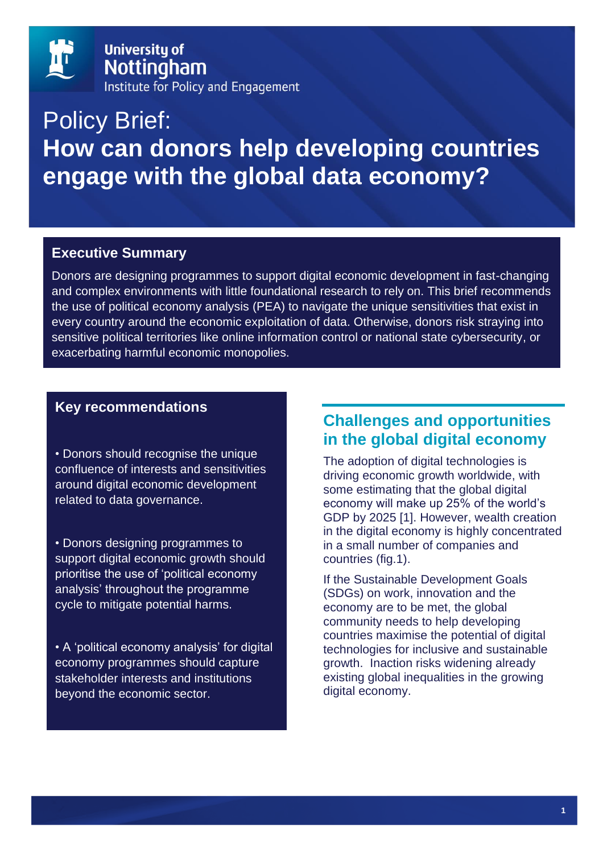

# Policy Brief: **How can donors help developing countries engage with the global data economy?**

## **Executive Summary**

Donors are designing programmes to support digital economic development in fast-changing and complex environments with little foundational research to rely on. This brief recommends the use of political economy analysis (PEA) to navigate the unique sensitivities that exist in every country around the economic exploitation of data. Otherwise, donors risk straying into sensitive political territories like online information control or national state cybersecurity, or exacerbating harmful economic monopolies.

#### **Key recommendations**

• Donors should recognise the unique confluence of interests and sensitivities around digital economic development related to data governance.

• Donors designing programmes to support digital economic growth should prioritise the use of 'political economy analysis' throughout the programme cycle to mitigate potential harms.

• A 'political economy analysis' for digital economy programmes should capture stakeholder interests and institutions beyond the economic sector.

# **Challenges and opportunities in the global digital economy**

The adoption of digital technologies is driving economic growth worldwide, with some estimating that the global digital economy will make up 25% of the world's GDP by 2025 [1]. However, wealth creation in the digital economy is highly concentrated in a small number of companies and countries (fig.1).

If the Sustainable Development Goals (SDGs) on work, innovation and the economy are to be met, the global community needs to help developing countries maximise the potential of digital technologies for inclusive and sustainable growth. Inaction risks widening already existing global inequalities in the growing digital economy.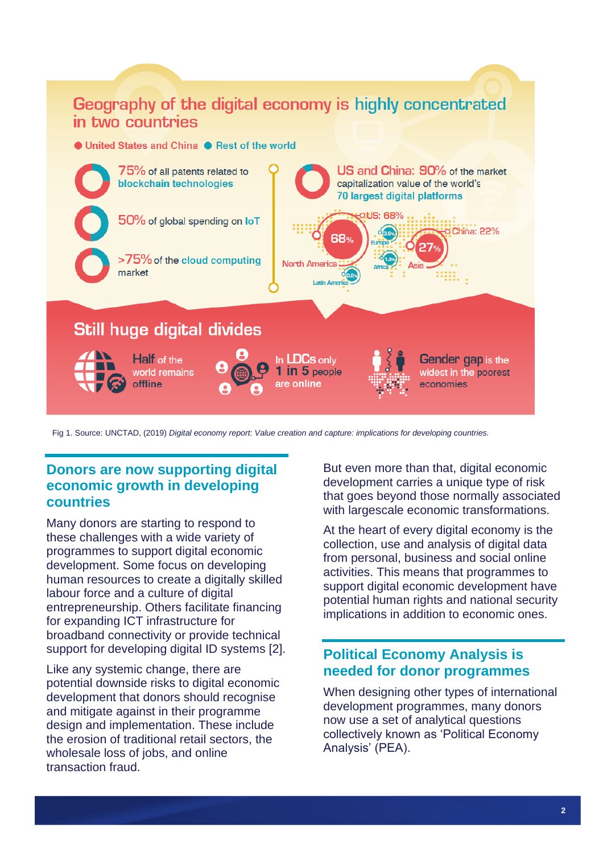# Geography of the digital economy is highly concentrated in two countries

#### ● United States and China ● Rest of the world



Fig 1. Source: UNCTAD, (2019) *Digital economy report: Value creation and capture: implications for developing countries.*

## **Donors are now supporting digital economic growth in developing countries**

Many donors are starting to respond to these challenges with a wide variety of programmes to support digital economic development. Some focus on developing human resources to create a digitally skilled labour force and a culture of digital entrepreneurship. Others facilitate financing for expanding ICT infrastructure for broadband connectivity or provide technical support for developing digital ID systems [2].

Like any systemic change, there are potential downside risks to digital economic development that donors should recognise and mitigate against in their programme design and implementation. These include the erosion of traditional retail sectors, the wholesale loss of jobs, and online transaction fraud.

But even more than that, digital economic development carries a unique type of risk that goes beyond those normally associated with largescale economic transformations.

At the heart of every digital economy is the collection, use and analysis of digital data from personal, business and social online activities. This means that programmes to support digital economic development have potential human rights and national security implications in addition to economic ones.

#### **Political Economy Analysis is needed for donor programmes**

When designing other types of international development programmes, many donors now use a set of analytical questions collectively known as 'Political Economy Analysis' (PEA).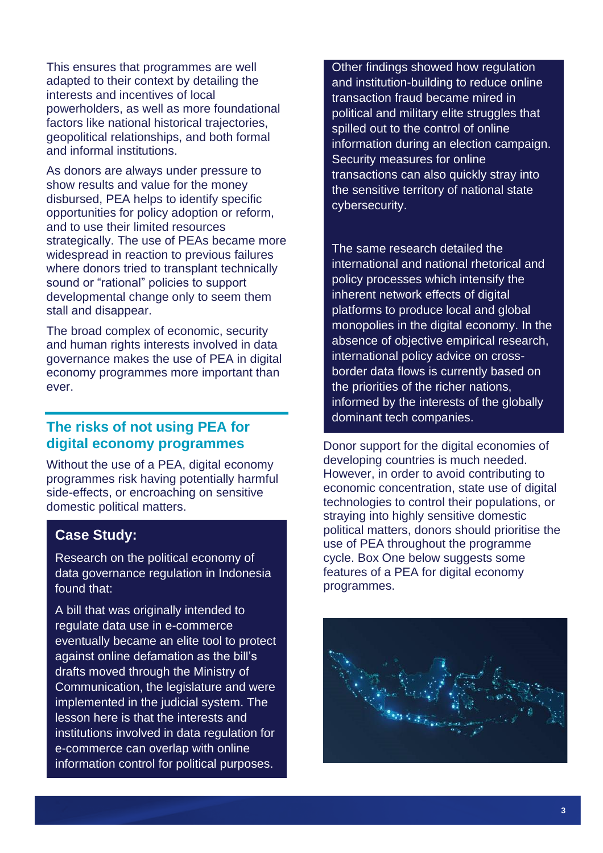This ensures that programmes are well adapted to their context by detailing the interests and incentives of local powerholders, as well as more foundational factors like national historical trajectories, geopolitical relationships, and both formal and informal institutions.

As donors are always under pressure to show results and value for the money disbursed, PEA helps to identify specific opportunities for policy adoption or reform, and to use their limited resources strategically. The use of PEAs became more widespread in reaction to previous failures where donors tried to transplant technically sound or "rational" policies to support developmental change only to seem them stall and disappear.

The broad complex of economic, security and human rights interests involved in data governance makes the use of PEA in digital economy programmes more important than ever.

### **The risks of not using PEA for digital economy programmes**

Without the use of a PEA, digital economy programmes risk having potentially harmful side-effects, or encroaching on sensitive domestic political matters.

#### **Case Study:**

Research on the political economy of data governance regulation in Indonesia found that:

A bill that was originally intended to regulate data use in e-commerce eventually became an elite tool to protect against online defamation as the bill's drafts moved through the Ministry of Communication, the legislature and were implemented in the judicial system. The lesson here is that the interests and institutions involved in data regulation for e-commerce can overlap with online information control for political purposes.

Other findings showed how regulation and institution-building to reduce online transaction fraud became mired in political and military elite struggles that spilled out to the control of online information during an election campaign. Security measures for online transactions can also quickly stray into the sensitive territory of national state cybersecurity.

The same research detailed the international and national rhetorical and policy processes which intensify the inherent network effects of digital platforms to produce local and global monopolies in the digital economy. In the absence of objective empirical research, international policy advice on crossborder data flows is currently based on the priorities of the richer nations, informed by the interests of the globally dominant tech companies.

Donor support for the digital economies of developing countries is much needed. However, in order to avoid contributing to economic concentration, state use of digital technologies to control their populations, or straying into highly sensitive domestic political matters, donors should prioritise the use of PEA throughout the programme cycle. Box One below suggests some features of a PEA for digital economy programmes.